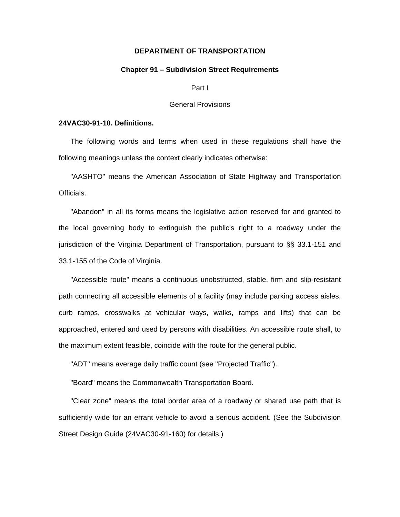# **DEPARTMENT OF TRANSPORTATION**

## **Chapter 91 – Subdivision Street Requirements**

Part I

#### General Provisions

## **24VAC30-91-10. Definitions.**

The following words and terms when used in these regulations shall have the following meanings unless the context clearly indicates otherwise:

"AASHTO" means the American Association of State Highway and Transportation Officials.

"Abandon" in all its forms means the legislative action reserved for and granted to the local governing body to extinguish the public's right to a roadway under the jurisdiction of the Virginia Department of Transportation, pursuant to §§ 33.1-151 and 33.1-155 of the Code of Virginia.

"Accessible route" means a continuous unobstructed, stable, firm and slip-resistant path connecting all accessible elements of a facility (may include parking access aisles, curb ramps, crosswalks at vehicular ways, walks, ramps and lifts) that can be approached, entered and used by persons with disabilities. An accessible route shall, to the maximum extent feasible, coincide with the route for the general public.

"ADT" means average daily traffic count (see "Projected Traffic").

"Board" means the Commonwealth Transportation Board.

"Clear zone" means the total border area of a roadway or shared use path that is sufficiently wide for an errant vehicle to avoid a serious accident. (See the Subdivision Street Design Guide (24VAC30-91-160) for details.)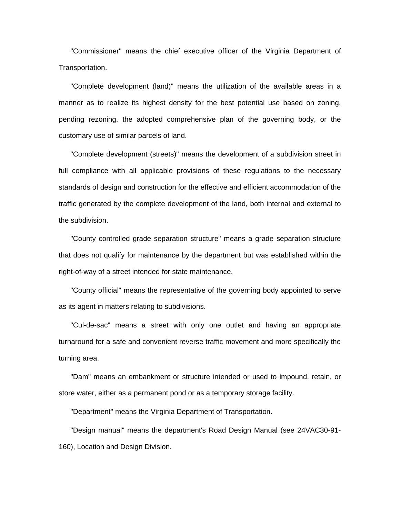"Commissioner" means the chief executive officer of the Virginia Department of Transportation.

"Complete development (land)" means the utilization of the available areas in a manner as to realize its highest density for the best potential use based on zoning, pending rezoning, the adopted comprehensive plan of the governing body, or the customary use of similar parcels of land.

"Complete development (streets)" means the development of a subdivision street in full compliance with all applicable provisions of these regulations to the necessary standards of design and construction for the effective and efficient accommodation of the traffic generated by the complete development of the land, both internal and external to the subdivision.

"County controlled grade separation structure" means a grade separation structure that does not qualify for maintenance by the department but was established within the right-of-way of a street intended for state maintenance.

"County official" means the representative of the governing body appointed to serve as its agent in matters relating to subdivisions.

"Cul-de-sac" means a street with only one outlet and having an appropriate turnaround for a safe and convenient reverse traffic movement and more specifically the turning area.

"Dam" means an embankment or structure intended or used to impound, retain, or store water, either as a permanent pond or as a temporary storage facility.

"Department" means the Virginia Department of Transportation.

"Design manual" means the department's Road Design Manual (see 24VAC30-91- 160), Location and Design Division.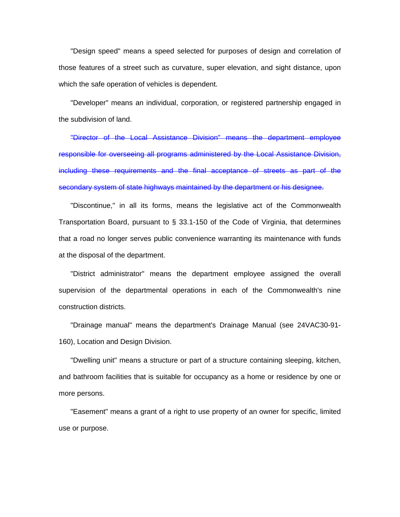"Design speed" means a speed selected for purposes of design and correlation of those features of a street such as curvature, super elevation, and sight distance, upon which the safe operation of vehicles is dependent.

"Developer" means an individual, corporation, or registered partnership engaged in the subdivision of land.

"Director of the Local Assistance Division" means the department employee responsible for overseeing all programs administered by the Local Assistance Division, including these requirements and the final acceptance of streets as part of the secondary system of state highways maintained by the department or his designee.

"Discontinue," in all its forms, means the legislative act of the Commonwealth Transportation Board, pursuant to § 33.1-150 of the Code of Virginia, that determines that a road no longer serves public convenience warranting its maintenance with funds at the disposal of the department.

"District administrator" means the department employee assigned the overall supervision of the departmental operations in each of the Commonwealth's nine construction districts.

"Drainage manual" means the department's Drainage Manual (see 24VAC30-91- 160), Location and Design Division.

"Dwelling unit" means a structure or part of a structure containing sleeping, kitchen, and bathroom facilities that is suitable for occupancy as a home or residence by one or more persons.

"Easement" means a grant of a right to use property of an owner for specific, limited use or purpose.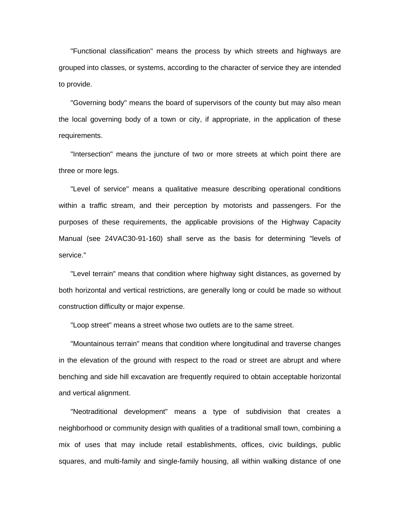"Functional classification" means the process by which streets and highways are grouped into classes, or systems, according to the character of service they are intended to provide.

"Governing body" means the board of supervisors of the county but may also mean the local governing body of a town or city, if appropriate, in the application of these requirements.

"Intersection" means the juncture of two or more streets at which point there are three or more legs.

"Level of service" means a qualitative measure describing operational conditions within a traffic stream, and their perception by motorists and passengers. For the purposes of these requirements, the applicable provisions of the Highway Capacity Manual (see 24VAC30-91-160) shall serve as the basis for determining "levels of service."

"Level terrain" means that condition where highway sight distances, as governed by both horizontal and vertical restrictions, are generally long or could be made so without construction difficulty or major expense.

"Loop street" means a street whose two outlets are to the same street.

"Mountainous terrain" means that condition where longitudinal and traverse changes in the elevation of the ground with respect to the road or street are abrupt and where benching and side hill excavation are frequently required to obtain acceptable horizontal and vertical alignment.

"Neotraditional development" means a type of subdivision that creates a neighborhood or community design with qualities of a traditional small town, combining a mix of uses that may include retail establishments, offices, civic buildings, public squares, and multi-family and single-family housing, all within walking distance of one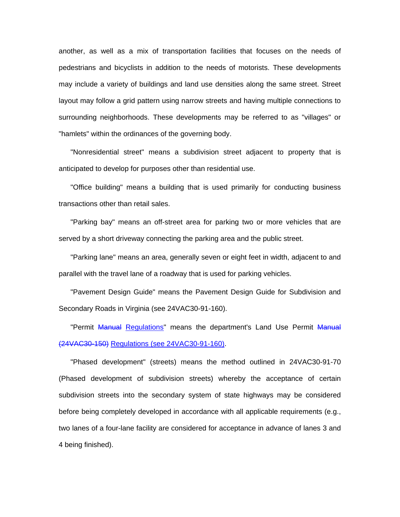another, as well as a mix of transportation facilities that focuses on the needs of pedestrians and bicyclists in addition to the needs of motorists. These developments may include a variety of buildings and land use densities along the same street. Street layout may follow a grid pattern using narrow streets and having multiple connections to surrounding neighborhoods. These developments may be referred to as "villages" or "hamlets" within the ordinances of the governing body.

"Nonresidential street" means a subdivision street adjacent to property that is anticipated to develop for purposes other than residential use.

"Office building" means a building that is used primarily for conducting business transactions other than retail sales.

"Parking bay" means an off-street area for parking two or more vehicles that are served by a short driveway connecting the parking area and the public street.

"Parking lane" means an area, generally seven or eight feet in width, adjacent to and parallel with the travel lane of a roadway that is used for parking vehicles.

"Pavement Design Guide" means the Pavement Design Guide for Subdivision and Secondary Roads in Virginia (see 24VAC30-91-160).

"Permit Manual Regulations" means the department's Land Use Permit Manual (24VAC30-150) Regulations (see 24VAC30-91-160).

"Phased development" (streets) means the method outlined in 24VAC30-91-70 (Phased development of subdivision streets) whereby the acceptance of certain subdivision streets into the secondary system of state highways may be considered before being completely developed in accordance with all applicable requirements (e.g., two lanes of a four-lane facility are considered for acceptance in advance of lanes 3 and 4 being finished).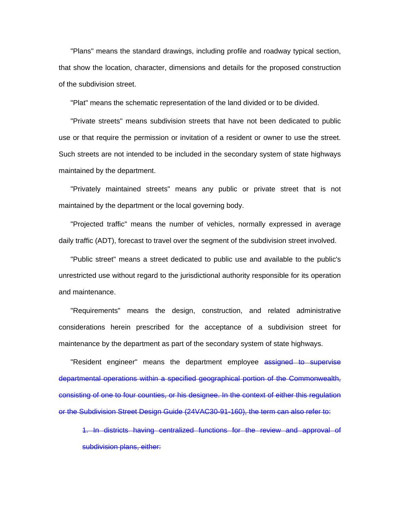"Plans" means the standard drawings, including profile and roadway typical section, that show the location, character, dimensions and details for the proposed construction of the subdivision street.

"Plat" means the schematic representation of the land divided or to be divided.

"Private streets" means subdivision streets that have not been dedicated to public use or that require the permission or invitation of a resident or owner to use the street. Such streets are not intended to be included in the secondary system of state highways maintained by the department.

"Privately maintained streets" means any public or private street that is not maintained by the department or the local governing body.

"Projected traffic" means the number of vehicles, normally expressed in average daily traffic (ADT), forecast to travel over the segment of the subdivision street involved.

"Public street" means a street dedicated to public use and available to the public's unrestricted use without regard to the jurisdictional authority responsible for its operation and maintenance.

"Requirements" means the design, construction, and related administrative considerations herein prescribed for the acceptance of a subdivision street for maintenance by the department as part of the secondary system of state highways.

"Resident engineer" means the department employee assigned to supervise departmental operations within a specified geographical portion of the Commonwealth, consisting of one to four counties, or his designee. In the context of either this regulation or the Subdivision Street Design Guide (24VAC30-91-160), the term can also refer to:

1. In districts having centralized functions for the review and approval of subdivision plans, either: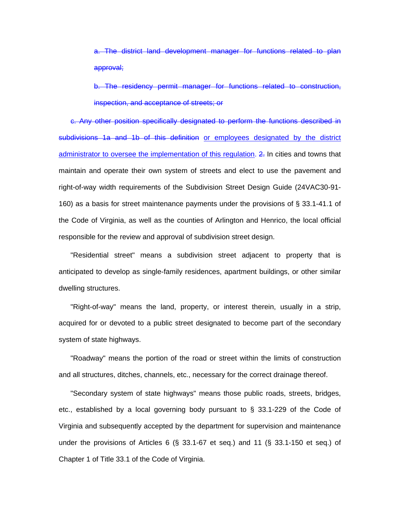a. The district land development manager for functions related to plan approval;

b. The residency permit manager for functions related to construction, inspection, and acceptance of streets; or

c. Any other position specifically designated to perform the functions described in subdivisions 1a and 1b of this definition or employees designated by the district administrator to oversee the implementation of this regulation. 2. In cities and towns that maintain and operate their own system of streets and elect to use the pavement and right-of-way width requirements of the Subdivision Street Design Guide (24VAC30-91- 160) as a basis for street maintenance payments under the provisions of § 33.1-41.1 of the Code of Virginia, as well as the counties of Arlington and Henrico, the local official responsible for the review and approval of subdivision street design.

"Residential street" means a subdivision street adjacent to property that is anticipated to develop as single-family residences, apartment buildings, or other similar dwelling structures.

"Right-of-way" means the land, property, or interest therein, usually in a strip, acquired for or devoted to a public street designated to become part of the secondary system of state highways.

"Roadway" means the portion of the road or street within the limits of construction and all structures, ditches, channels, etc., necessary for the correct drainage thereof.

"Secondary system of state highways" means those public roads, streets, bridges, etc., established by a local governing body pursuant to § 33.1-229 of the Code of Virginia and subsequently accepted by the department for supervision and maintenance under the provisions of Articles 6 (§ 33.1-67 et seq.) and 11 (§ 33.1-150 et seq.) of Chapter 1 of Title 33.1 of the Code of Virginia.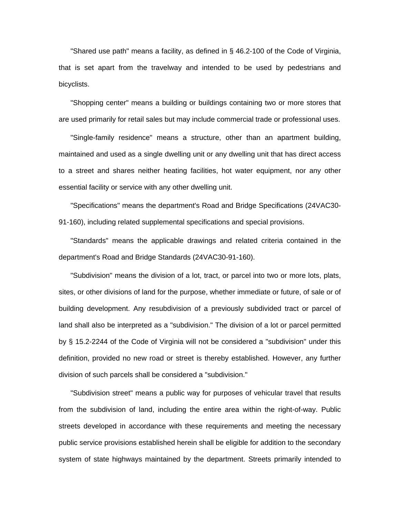"Shared use path" means a facility, as defined in § 46.2-100 of the Code of Virginia, that is set apart from the travelway and intended to be used by pedestrians and bicyclists.

"Shopping center" means a building or buildings containing two or more stores that are used primarily for retail sales but may include commercial trade or professional uses.

"Single-family residence" means a structure, other than an apartment building, maintained and used as a single dwelling unit or any dwelling unit that has direct access to a street and shares neither heating facilities, hot water equipment, nor any other essential facility or service with any other dwelling unit.

"Specifications" means the department's Road and Bridge Specifications (24VAC30- 91-160), including related supplemental specifications and special provisions.

"Standards" means the applicable drawings and related criteria contained in the department's Road and Bridge Standards (24VAC30-91-160).

"Subdivision" means the division of a lot, tract, or parcel into two or more lots, plats, sites, or other divisions of land for the purpose, whether immediate or future, of sale or of building development. Any resubdivision of a previously subdivided tract or parcel of land shall also be interpreted as a "subdivision." The division of a lot or parcel permitted by § 15.2-2244 of the Code of Virginia will not be considered a "subdivision" under this definition, provided no new road or street is thereby established. However, any further division of such parcels shall be considered a "subdivision."

"Subdivision street" means a public way for purposes of vehicular travel that results from the subdivision of land, including the entire area within the right-of-way. Public streets developed in accordance with these requirements and meeting the necessary public service provisions established herein shall be eligible for addition to the secondary system of state highways maintained by the department. Streets primarily intended to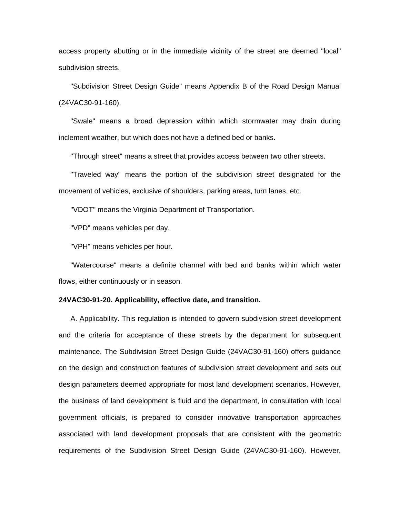access property abutting or in the immediate vicinity of the street are deemed "local" subdivision streets.

"Subdivision Street Design Guide" means Appendix B of the Road Design Manual (24VAC30-91-160).

"Swale" means a broad depression within which stormwater may drain during inclement weather, but which does not have a defined bed or banks.

"Through street" means a street that provides access between two other streets.

"Traveled way" means the portion of the subdivision street designated for the movement of vehicles, exclusive of shoulders, parking areas, turn lanes, etc.

"VDOT" means the Virginia Department of Transportation.

"VPD" means vehicles per day.

"VPH" means vehicles per hour.

"Watercourse" means a definite channel with bed and banks within which water flows, either continuously or in season.

### **24VAC30-91-20. Applicability, effective date, and transition.**

A. Applicability. This regulation is intended to govern subdivision street development and the criteria for acceptance of these streets by the department for subsequent maintenance. The Subdivision Street Design Guide (24VAC30-91-160) offers guidance on the design and construction features of subdivision street development and sets out design parameters deemed appropriate for most land development scenarios. However, the business of land development is fluid and the department, in consultation with local government officials, is prepared to consider innovative transportation approaches associated with land development proposals that are consistent with the geometric requirements of the Subdivision Street Design Guide (24VAC30-91-160). However,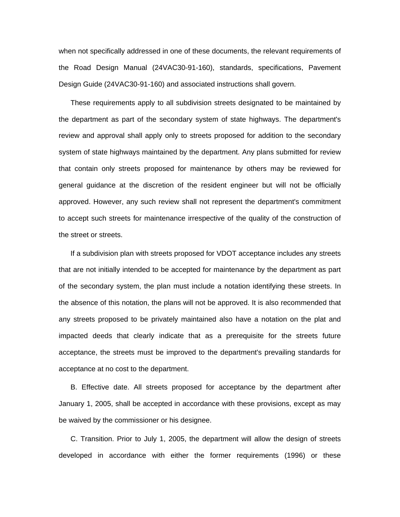when not specifically addressed in one of these documents, the relevant requirements of the Road Design Manual (24VAC30-91-160), standards, specifications, Pavement Design Guide (24VAC30-91-160) and associated instructions shall govern.

These requirements apply to all subdivision streets designated to be maintained by the department as part of the secondary system of state highways. The department's review and approval shall apply only to streets proposed for addition to the secondary system of state highways maintained by the department. Any plans submitted for review that contain only streets proposed for maintenance by others may be reviewed for general guidance at the discretion of the resident engineer but will not be officially approved. However, any such review shall not represent the department's commitment to accept such streets for maintenance irrespective of the quality of the construction of the street or streets.

If a subdivision plan with streets proposed for VDOT acceptance includes any streets that are not initially intended to be accepted for maintenance by the department as part of the secondary system, the plan must include a notation identifying these streets. In the absence of this notation, the plans will not be approved. It is also recommended that any streets proposed to be privately maintained also have a notation on the plat and impacted deeds that clearly indicate that as a prerequisite for the streets future acceptance, the streets must be improved to the department's prevailing standards for acceptance at no cost to the department.

B. Effective date. All streets proposed for acceptance by the department after January 1, 2005, shall be accepted in accordance with these provisions, except as may be waived by the commissioner or his designee.

C. Transition. Prior to July 1, 2005, the department will allow the design of streets developed in accordance with either the former requirements (1996) or these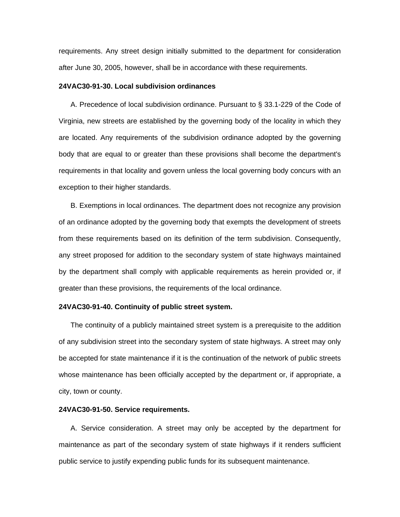requirements. Any street design initially submitted to the department for consideration after June 30, 2005, however, shall be in accordance with these requirements.

## **24VAC30-91-30. Local subdivision ordinances**

A. Precedence of local subdivision ordinance. Pursuant to § 33.1-229 of the Code of Virginia, new streets are established by the governing body of the locality in which they are located. Any requirements of the subdivision ordinance adopted by the governing body that are equal to or greater than these provisions shall become the department's requirements in that locality and govern unless the local governing body concurs with an exception to their higher standards.

B. Exemptions in local ordinances. The department does not recognize any provision of an ordinance adopted by the governing body that exempts the development of streets from these requirements based on its definition of the term subdivision. Consequently, any street proposed for addition to the secondary system of state highways maintained by the department shall comply with applicable requirements as herein provided or, if greater than these provisions, the requirements of the local ordinance.

## **24VAC30-91-40. Continuity of public street system.**

The continuity of a publicly maintained street system is a prerequisite to the addition of any subdivision street into the secondary system of state highways. A street may only be accepted for state maintenance if it is the continuation of the network of public streets whose maintenance has been officially accepted by the department or, if appropriate, a city, town or county.

# **24VAC30-91-50. Service requirements.**

A. Service consideration. A street may only be accepted by the department for maintenance as part of the secondary system of state highways if it renders sufficient public service to justify expending public funds for its subsequent maintenance.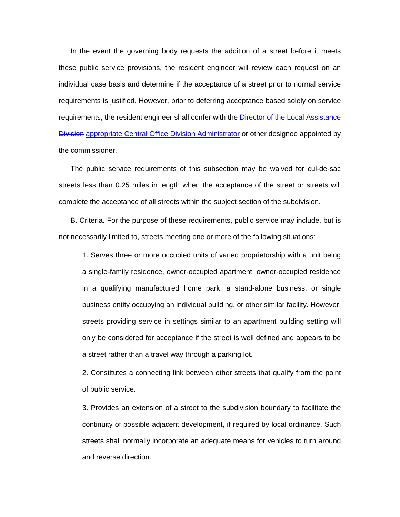In the event the governing body requests the addition of a street before it meets these public service provisions, the resident engineer will review each request on an individual case basis and determine if the acceptance of a street prior to normal service requirements is justified. However, prior to deferring acceptance based solely on service requirements, the resident engineer shall confer with the **Director of the Local Assistance Division appropriate Central Office Division Administrator or other designee appointed by** the commissioner.

The public service requirements of this subsection may be waived for cul-de-sac streets less than 0.25 miles in length when the acceptance of the street or streets will complete the acceptance of all streets within the subject section of the subdivision.

B. Criteria. For the purpose of these requirements, public service may include, but is not necessarily limited to, streets meeting one or more of the following situations:

1. Serves three or more occupied units of varied proprietorship with a unit being a single-family residence, owner-occupied apartment, owner-occupied residence in a qualifying manufactured home park, a stand-alone business, or single business entity occupying an individual building, or other similar facility. However, streets providing service in settings similar to an apartment building setting will only be considered for acceptance if the street is well defined and appears to be a street rather than a travel way through a parking lot.

2. Constitutes a connecting link between other streets that qualify from the point of public service.

3. Provides an extension of a street to the subdivision boundary to facilitate the continuity of possible adjacent development, if required by local ordinance. Such streets shall normally incorporate an adequate means for vehicles to turn around and reverse direction.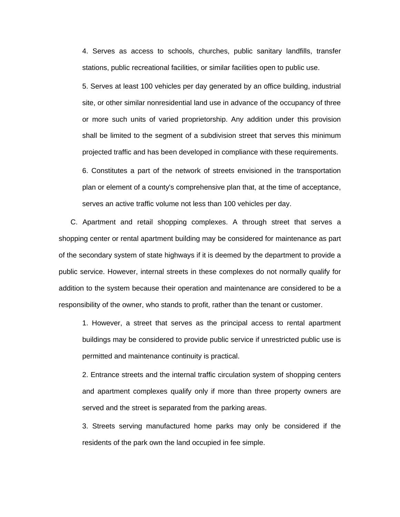4. Serves as access to schools, churches, public sanitary landfills, transfer stations, public recreational facilities, or similar facilities open to public use.

5. Serves at least 100 vehicles per day generated by an office building, industrial site, or other similar nonresidential land use in advance of the occupancy of three or more such units of varied proprietorship. Any addition under this provision shall be limited to the segment of a subdivision street that serves this minimum projected traffic and has been developed in compliance with these requirements.

6. Constitutes a part of the network of streets envisioned in the transportation plan or element of a county's comprehensive plan that, at the time of acceptance, serves an active traffic volume not less than 100 vehicles per day.

C. Apartment and retail shopping complexes. A through street that serves a shopping center or rental apartment building may be considered for maintenance as part of the secondary system of state highways if it is deemed by the department to provide a public service. However, internal streets in these complexes do not normally qualify for addition to the system because their operation and maintenance are considered to be a responsibility of the owner, who stands to profit, rather than the tenant or customer.

1. However, a street that serves as the principal access to rental apartment buildings may be considered to provide public service if unrestricted public use is permitted and maintenance continuity is practical.

2. Entrance streets and the internal traffic circulation system of shopping centers and apartment complexes qualify only if more than three property owners are served and the street is separated from the parking areas.

3. Streets serving manufactured home parks may only be considered if the residents of the park own the land occupied in fee simple.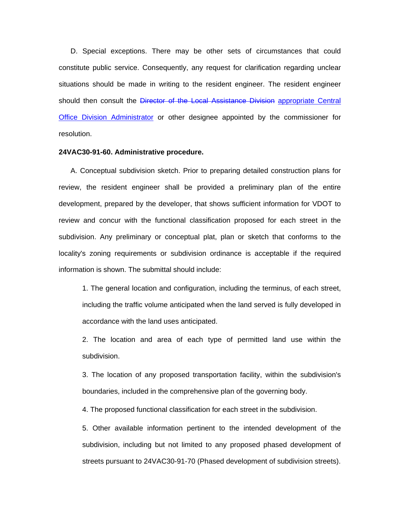D. Special exceptions. There may be other sets of circumstances that could constitute public service. Consequently, any request for clarification regarding unclear situations should be made in writing to the resident engineer. The resident engineer should then consult the Director of the Local Assistance Division appropriate Central Office Division Administrator or other designee appointed by the commissioner for resolution.

## **24VAC30-91-60. Administrative procedure.**

A. Conceptual subdivision sketch. Prior to preparing detailed construction plans for review, the resident engineer shall be provided a preliminary plan of the entire development, prepared by the developer, that shows sufficient information for VDOT to review and concur with the functional classification proposed for each street in the subdivision. Any preliminary or conceptual plat, plan or sketch that conforms to the locality's zoning requirements or subdivision ordinance is acceptable if the required information is shown. The submittal should include:

1. The general location and configuration, including the terminus, of each street, including the traffic volume anticipated when the land served is fully developed in accordance with the land uses anticipated.

2. The location and area of each type of permitted land use within the subdivision.

3. The location of any proposed transportation facility, within the subdivision's boundaries, included in the comprehensive plan of the governing body.

4. The proposed functional classification for each street in the subdivision.

5. Other available information pertinent to the intended development of the subdivision, including but not limited to any proposed phased development of streets pursuant to 24VAC30-91-70 (Phased development of subdivision streets).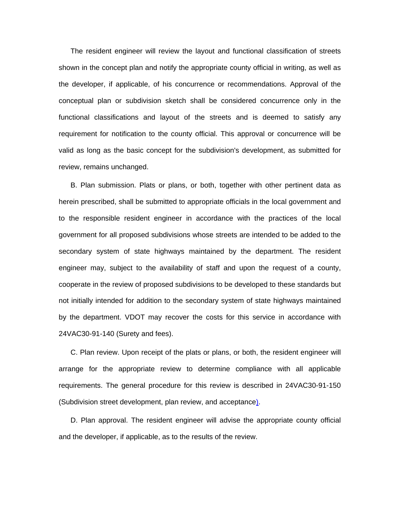The resident engineer will review the layout and functional classification of streets shown in the concept plan and notify the appropriate county official in writing, as well as the developer, if applicable, of his concurrence or recommendations. Approval of the conceptual plan or subdivision sketch shall be considered concurrence only in the functional classifications and layout of the streets and is deemed to satisfy any requirement for notification to the county official. This approval or concurrence will be valid as long as the basic concept for the subdivision's development, as submitted for review, remains unchanged.

B. Plan submission. Plats or plans, or both, together with other pertinent data as herein prescribed, shall be submitted to appropriate officials in the local government and to the responsible resident engineer in accordance with the practices of the local government for all proposed subdivisions whose streets are intended to be added to the secondary system of state highways maintained by the department. The resident engineer may, subject to the availability of staff and upon the request of a county, cooperate in the review of proposed subdivisions to be developed to these standards but not initially intended for addition to the secondary system of state highways maintained by the department. VDOT may recover the costs for this service in accordance with 24VAC30-91-140 (Surety and fees).

C. Plan review. Upon receipt of the plats or plans, or both, the resident engineer will arrange for the appropriate review to determine compliance with all applicable requirements. The general procedure for this review is described in 24VAC30-91-150 (Subdivision street development, plan review, and acceptance).

D. Plan approval. The resident engineer will advise the appropriate county official and the developer, if applicable, as to the results of the review.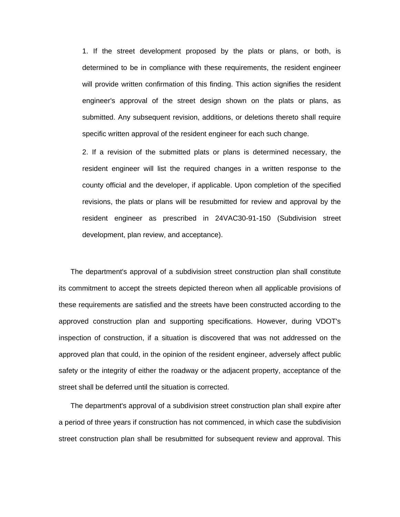1. If the street development proposed by the plats or plans, or both, is determined to be in compliance with these requirements, the resident engineer will provide written confirmation of this finding. This action signifies the resident engineer's approval of the street design shown on the plats or plans, as submitted. Any subsequent revision, additions, or deletions thereto shall require specific written approval of the resident engineer for each such change.

2. If a revision of the submitted plats or plans is determined necessary, the resident engineer will list the required changes in a written response to the county official and the developer, if applicable. Upon completion of the specified revisions, the plats or plans will be resubmitted for review and approval by the resident engineer as prescribed in 24VAC30-91-150 (Subdivision street development, plan review, and acceptance).

The department's approval of a subdivision street construction plan shall constitute its commitment to accept the streets depicted thereon when all applicable provisions of these requirements are satisfied and the streets have been constructed according to the approved construction plan and supporting specifications. However, during VDOT's inspection of construction, if a situation is discovered that was not addressed on the approved plan that could, in the opinion of the resident engineer, adversely affect public safety or the integrity of either the roadway or the adjacent property, acceptance of the street shall be deferred until the situation is corrected.

The department's approval of a subdivision street construction plan shall expire after a period of three years if construction has not commenced, in which case the subdivision street construction plan shall be resubmitted for subsequent review and approval. This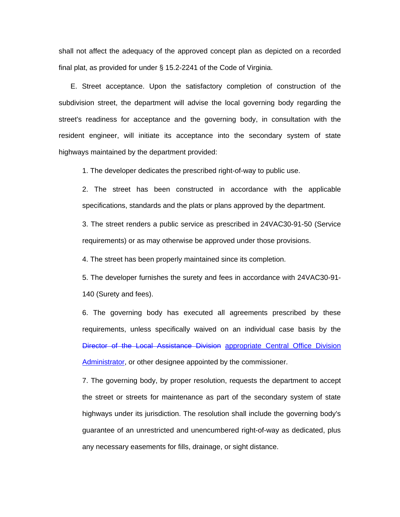shall not affect the adequacy of the approved concept plan as depicted on a recorded final plat, as provided for under § 15.2-2241 of the Code of Virginia.

E. Street acceptance. Upon the satisfactory completion of construction of the subdivision street, the department will advise the local governing body regarding the street's readiness for acceptance and the governing body, in consultation with the resident engineer, will initiate its acceptance into the secondary system of state highways maintained by the department provided:

1. The developer dedicates the prescribed right-of-way to public use.

2. The street has been constructed in accordance with the applicable specifications, standards and the plats or plans approved by the department.

3. The street renders a public service as prescribed in 24VAC30-91-50 (Service requirements) or as may otherwise be approved under those provisions.

4. The street has been properly maintained since its completion.

5. The developer furnishes the surety and fees in accordance with 24VAC30-91- 140 (Surety and fees).

6. The governing body has executed all agreements prescribed by these requirements, unless specifically waived on an individual case basis by the Director of the Local Assistance Division appropriate Central Office Division Administrator, or other designee appointed by the commissioner.

7. The governing body, by proper resolution, requests the department to accept the street or streets for maintenance as part of the secondary system of state highways under its jurisdiction. The resolution shall include the governing body's guarantee of an unrestricted and unencumbered right-of-way as dedicated, plus any necessary easements for fills, drainage, or sight distance.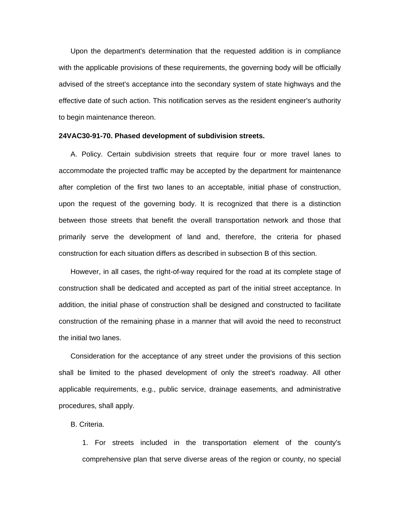Upon the department's determination that the requested addition is in compliance with the applicable provisions of these requirements, the governing body will be officially advised of the street's acceptance into the secondary system of state highways and the effective date of such action. This notification serves as the resident engineer's authority to begin maintenance thereon.

#### **24VAC30-91-70. Phased development of subdivision streets.**

A. Policy. Certain subdivision streets that require four or more travel lanes to accommodate the projected traffic may be accepted by the department for maintenance after completion of the first two lanes to an acceptable, initial phase of construction, upon the request of the governing body. It is recognized that there is a distinction between those streets that benefit the overall transportation network and those that primarily serve the development of land and, therefore, the criteria for phased construction for each situation differs as described in subsection B of this section.

However, in all cases, the right-of-way required for the road at its complete stage of construction shall be dedicated and accepted as part of the initial street acceptance. In addition, the initial phase of construction shall be designed and constructed to facilitate construction of the remaining phase in a manner that will avoid the need to reconstruct the initial two lanes.

Consideration for the acceptance of any street under the provisions of this section shall be limited to the phased development of only the street's roadway. All other applicable requirements, e.g., public service, drainage easements, and administrative procedures, shall apply.

# B. Criteria.

1. For streets included in the transportation element of the county's comprehensive plan that serve diverse areas of the region or county, no special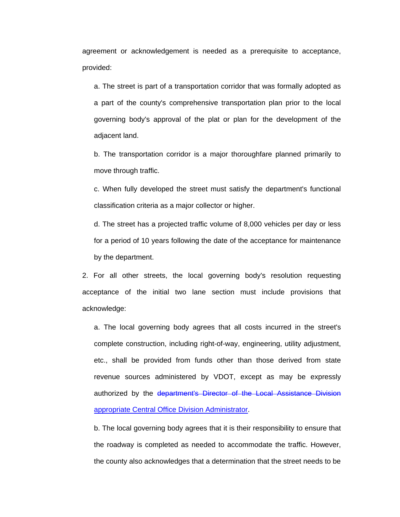agreement or acknowledgement is needed as a prerequisite to acceptance, provided:

a. The street is part of a transportation corridor that was formally adopted as a part of the county's comprehensive transportation plan prior to the local governing body's approval of the plat or plan for the development of the adjacent land.

b. The transportation corridor is a major thoroughfare planned primarily to move through traffic.

c. When fully developed the street must satisfy the department's functional classification criteria as a major collector or higher.

d. The street has a projected traffic volume of 8,000 vehicles per day or less for a period of 10 years following the date of the acceptance for maintenance by the department.

2. For all other streets, the local governing body's resolution requesting acceptance of the initial two lane section must include provisions that acknowledge:

a. The local governing body agrees that all costs incurred in the street's complete construction, including right-of-way, engineering, utility adjustment, etc., shall be provided from funds other than those derived from state revenue sources administered by VDOT, except as may be expressly authorized by the department's Director of the Local Assistance Division appropriate Central Office Division Administrator.

b. The local governing body agrees that it is their responsibility to ensure that the roadway is completed as needed to accommodate the traffic. However, the county also acknowledges that a determination that the street needs to be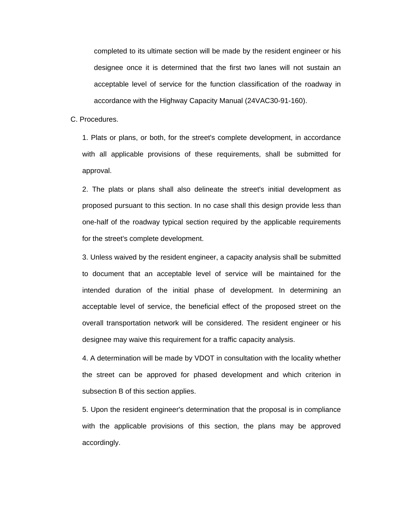completed to its ultimate section will be made by the resident engineer or his designee once it is determined that the first two lanes will not sustain an acceptable level of service for the function classification of the roadway in accordance with the Highway Capacity Manual (24VAC30-91-160).

### C. Procedures.

1. Plats or plans, or both, for the street's complete development, in accordance with all applicable provisions of these requirements, shall be submitted for approval.

2. The plats or plans shall also delineate the street's initial development as proposed pursuant to this section. In no case shall this design provide less than one-half of the roadway typical section required by the applicable requirements for the street's complete development.

3. Unless waived by the resident engineer, a capacity analysis shall be submitted to document that an acceptable level of service will be maintained for the intended duration of the initial phase of development. In determining an acceptable level of service, the beneficial effect of the proposed street on the overall transportation network will be considered. The resident engineer or his designee may waive this requirement for a traffic capacity analysis.

4. A determination will be made by VDOT in consultation with the locality whether the street can be approved for phased development and which criterion in subsection B of this section applies.

5. Upon the resident engineer's determination that the proposal is in compliance with the applicable provisions of this section, the plans may be approved accordingly.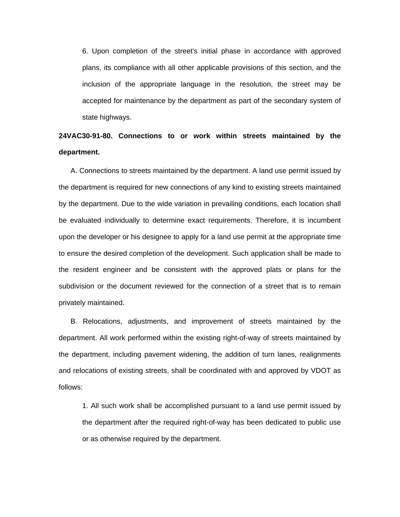6. Upon completion of the street's initial phase in accordance with approved plans, its compliance with all other applicable provisions of this section, and the inclusion of the appropriate language in the resolution, the street may be accepted for maintenance by the department as part of the secondary system of state highways.

**24VAC30-91-80. Connections to or work within streets maintained by the department.** 

A. Connections to streets maintained by the department. A land use permit issued by the department is required for new connections of any kind to existing streets maintained by the department. Due to the wide variation in prevailing conditions, each location shall be evaluated individually to determine exact requirements. Therefore, it is incumbent upon the developer or his designee to apply for a land use permit at the appropriate time to ensure the desired completion of the development. Such application shall be made to the resident engineer and be consistent with the approved plats or plans for the subdivision or the document reviewed for the connection of a street that is to remain privately maintained.

B. Relocations, adjustments, and improvement of streets maintained by the department. All work performed within the existing right-of-way of streets maintained by the department, including pavement widening, the addition of turn lanes, realignments and relocations of existing streets, shall be coordinated with and approved by VDOT as follows:

1. All such work shall be accomplished pursuant to a land use permit issued by the department after the required right-of-way has been dedicated to public use or as otherwise required by the department.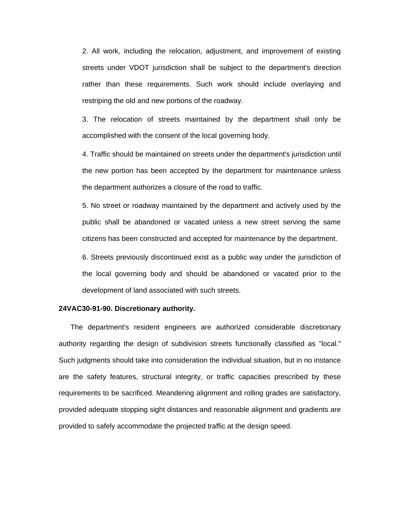2. All work, including the relocation, adjustment, and improvement of existing streets under VDOT jurisdiction shall be subject to the department's direction rather than these requirements. Such work should include overlaying and restriping the old and new portions of the roadway.

3. The relocation of streets maintained by the department shall only be accomplished with the consent of the local governing body.

4. Traffic should be maintained on streets under the department's jurisdiction until the new portion has been accepted by the department for maintenance unless the department authorizes a closure of the road to traffic.

5. No street or roadway maintained by the department and actively used by the public shall be abandoned or vacated unless a new street serving the same citizens has been constructed and accepted for maintenance by the department.

6. Streets previously discontinued exist as a public way under the jurisdiction of the local governing body and should be abandoned or vacated prior to the development of land associated with such streets.

# **24VAC30-91-90. Discretionary authority.**

The department's resident engineers are authorized considerable discretionary authority regarding the design of subdivision streets functionally classified as "local." Such judgments should take into consideration the individual situation, but in no instance are the safety features, structural integrity, or traffic capacities prescribed by these requirements to be sacrificed. Meandering alignment and rolling grades are satisfactory, provided adequate stopping sight distances and reasonable alignment and gradients are provided to safely accommodate the projected traffic at the design speed.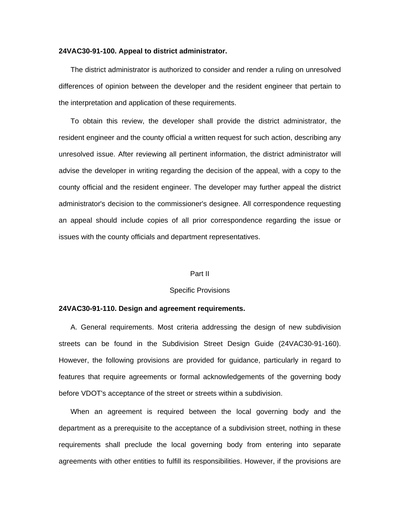#### **24VAC30-91-100. Appeal to district administrator.**

The district administrator is authorized to consider and render a ruling on unresolved differences of opinion between the developer and the resident engineer that pertain to the interpretation and application of these requirements.

To obtain this review, the developer shall provide the district administrator, the resident engineer and the county official a written request for such action, describing any unresolved issue. After reviewing all pertinent information, the district administrator will advise the developer in writing regarding the decision of the appeal, with a copy to the county official and the resident engineer. The developer may further appeal the district administrator's decision to the commissioner's designee. All correspondence requesting an appeal should include copies of all prior correspondence regarding the issue or issues with the county officials and department representatives.

### Part II

# Specific Provisions

# **24VAC30-91-110. Design and agreement requirements.**

A. General requirements. Most criteria addressing the design of new subdivision streets can be found in the Subdivision Street Design Guide (24VAC30-91-160). However, the following provisions are provided for guidance, particularly in regard to features that require agreements or formal acknowledgements of the governing body before VDOT's acceptance of the street or streets within a subdivision.

When an agreement is required between the local governing body and the department as a prerequisite to the acceptance of a subdivision street, nothing in these requirements shall preclude the local governing body from entering into separate agreements with other entities to fulfill its responsibilities. However, if the provisions are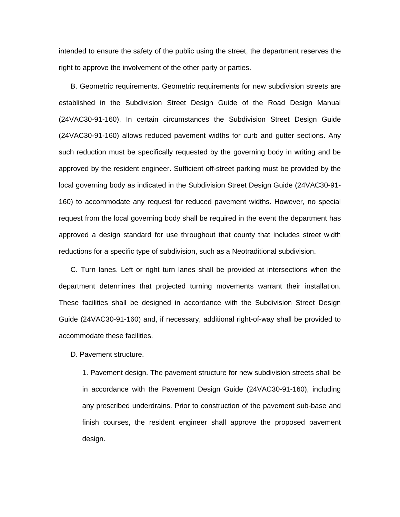intended to ensure the safety of the public using the street, the department reserves the right to approve the involvement of the other party or parties.

B. Geometric requirements. Geometric requirements for new subdivision streets are established in the Subdivision Street Design Guide of the Road Design Manual (24VAC30-91-160). In certain circumstances the Subdivision Street Design Guide (24VAC30-91-160) allows reduced pavement widths for curb and gutter sections. Any such reduction must be specifically requested by the governing body in writing and be approved by the resident engineer. Sufficient off-street parking must be provided by the local governing body as indicated in the Subdivision Street Design Guide (24VAC30-91- 160) to accommodate any request for reduced pavement widths. However, no special request from the local governing body shall be required in the event the department has approved a design standard for use throughout that county that includes street width reductions for a specific type of subdivision, such as a Neotraditional subdivision.

C. Turn lanes. Left or right turn lanes shall be provided at intersections when the department determines that projected turning movements warrant their installation. These facilities shall be designed in accordance with the Subdivision Street Design Guide (24VAC30-91-160) and, if necessary, additional right-of-way shall be provided to accommodate these facilities.

D. Pavement structure.

1. Pavement design. The pavement structure for new subdivision streets shall be in accordance with the Pavement Design Guide (24VAC30-91-160), including any prescribed underdrains. Prior to construction of the pavement sub-base and finish courses, the resident engineer shall approve the proposed pavement design.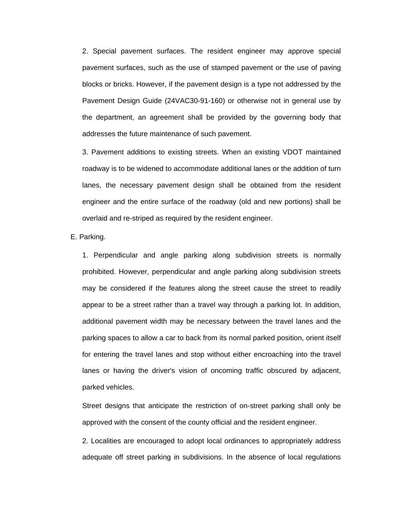2. Special pavement surfaces. The resident engineer may approve special pavement surfaces, such as the use of stamped pavement or the use of paving blocks or bricks. However, if the pavement design is a type not addressed by the Pavement Design Guide (24VAC30-91-160) or otherwise not in general use by the department, an agreement shall be provided by the governing body that addresses the future maintenance of such pavement.

3. Pavement additions to existing streets. When an existing VDOT maintained roadway is to be widened to accommodate additional lanes or the addition of turn lanes, the necessary pavement design shall be obtained from the resident engineer and the entire surface of the roadway (old and new portions) shall be overlaid and re-striped as required by the resident engineer.

E. Parking.

1. Perpendicular and angle parking along subdivision streets is normally prohibited. However, perpendicular and angle parking along subdivision streets may be considered if the features along the street cause the street to readily appear to be a street rather than a travel way through a parking lot. In addition, additional pavement width may be necessary between the travel lanes and the parking spaces to allow a car to back from its normal parked position, orient itself for entering the travel lanes and stop without either encroaching into the travel lanes or having the driver's vision of oncoming traffic obscured by adjacent, parked vehicles.

Street designs that anticipate the restriction of on-street parking shall only be approved with the consent of the county official and the resident engineer.

2. Localities are encouraged to adopt local ordinances to appropriately address adequate off street parking in subdivisions. In the absence of local regulations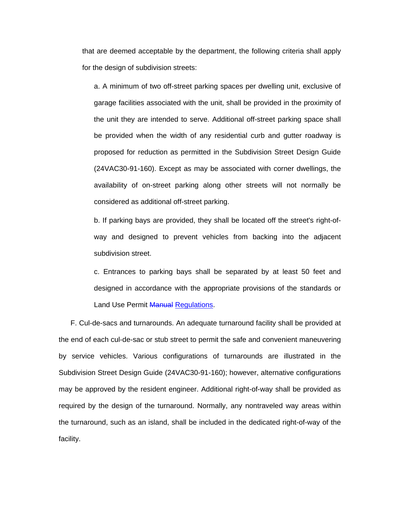that are deemed acceptable by the department, the following criteria shall apply for the design of subdivision streets:

a. A minimum of two off-street parking spaces per dwelling unit, exclusive of garage facilities associated with the unit, shall be provided in the proximity of the unit they are intended to serve. Additional off-street parking space shall be provided when the width of any residential curb and gutter roadway is proposed for reduction as permitted in the Subdivision Street Design Guide (24VAC30-91-160). Except as may be associated with corner dwellings, the availability of on-street parking along other streets will not normally be considered as additional off-street parking.

b. If parking bays are provided, they shall be located off the street's right-ofway and designed to prevent vehicles from backing into the adjacent subdivision street.

c. Entrances to parking bays shall be separated by at least 50 feet and designed in accordance with the appropriate provisions of the standards or Land Use Permit Manual Regulations.

F. Cul-de-sacs and turnarounds. An adequate turnaround facility shall be provided at the end of each cul-de-sac or stub street to permit the safe and convenient maneuvering by service vehicles. Various configurations of turnarounds are illustrated in the Subdivision Street Design Guide (24VAC30-91-160); however, alternative configurations may be approved by the resident engineer. Additional right-of-way shall be provided as required by the design of the turnaround. Normally, any nontraveled way areas within the turnaround, such as an island, shall be included in the dedicated right-of-way of the facility.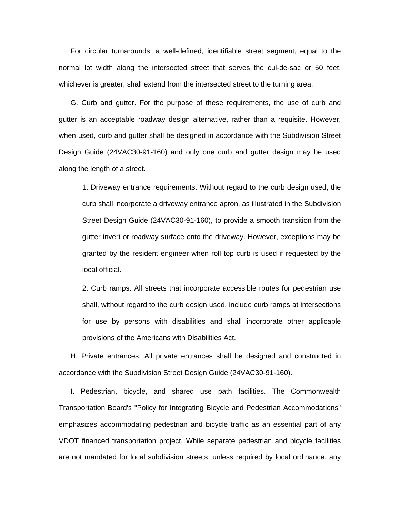For circular turnarounds, a well-defined, identifiable street segment, equal to the normal lot width along the intersected street that serves the cul-de-sac or 50 feet, whichever is greater, shall extend from the intersected street to the turning area.

G. Curb and gutter. For the purpose of these requirements, the use of curb and gutter is an acceptable roadway design alternative, rather than a requisite. However, when used, curb and gutter shall be designed in accordance with the Subdivision Street Design Guide (24VAC30-91-160) and only one curb and gutter design may be used along the length of a street.

1. Driveway entrance requirements. Without regard to the curb design used, the curb shall incorporate a driveway entrance apron, as illustrated in the Subdivision Street Design Guide (24VAC30-91-160), to provide a smooth transition from the gutter invert or roadway surface onto the driveway. However, exceptions may be granted by the resident engineer when roll top curb is used if requested by the local official.

2. Curb ramps. All streets that incorporate accessible routes for pedestrian use shall, without regard to the curb design used, include curb ramps at intersections for use by persons with disabilities and shall incorporate other applicable provisions of the Americans with Disabilities Act.

H. Private entrances. All private entrances shall be designed and constructed in accordance with the Subdivision Street Design Guide (24VAC30-91-160).

I. Pedestrian, bicycle, and shared use path facilities. The Commonwealth Transportation Board's "Policy for Integrating Bicycle and Pedestrian Accommodations" emphasizes accommodating pedestrian and bicycle traffic as an essential part of any VDOT financed transportation project. While separate pedestrian and bicycle facilities are not mandated for local subdivision streets, unless required by local ordinance, any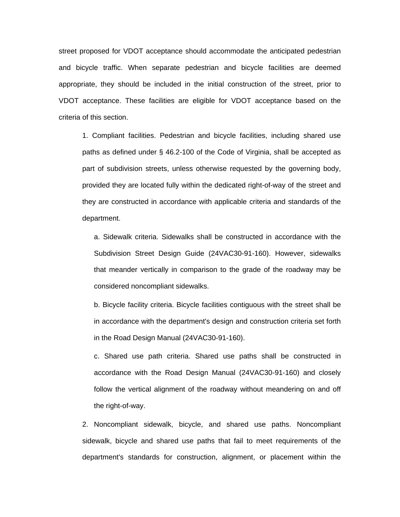street proposed for VDOT acceptance should accommodate the anticipated pedestrian and bicycle traffic. When separate pedestrian and bicycle facilities are deemed appropriate, they should be included in the initial construction of the street, prior to VDOT acceptance. These facilities are eligible for VDOT acceptance based on the criteria of this section.

1. Compliant facilities. Pedestrian and bicycle facilities, including shared use paths as defined under § 46.2-100 of the Code of Virginia, shall be accepted as part of subdivision streets, unless otherwise requested by the governing body, provided they are located fully within the dedicated right-of-way of the street and they are constructed in accordance with applicable criteria and standards of the department.

a. Sidewalk criteria. Sidewalks shall be constructed in accordance with the Subdivision Street Design Guide (24VAC30-91-160). However, sidewalks that meander vertically in comparison to the grade of the roadway may be considered noncompliant sidewalks.

b. Bicycle facility criteria. Bicycle facilities contiguous with the street shall be in accordance with the department's design and construction criteria set forth in the Road Design Manual (24VAC30-91-160).

c. Shared use path criteria. Shared use paths shall be constructed in accordance with the Road Design Manual (24VAC30-91-160) and closely follow the vertical alignment of the roadway without meandering on and off the right-of-way.

2. Noncompliant sidewalk, bicycle, and shared use paths. Noncompliant sidewalk, bicycle and shared use paths that fail to meet requirements of the department's standards for construction, alignment, or placement within the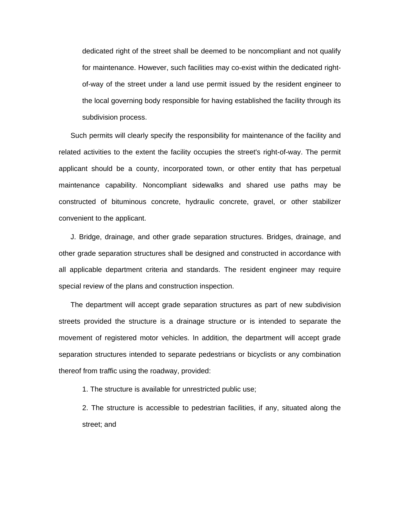dedicated right of the street shall be deemed to be noncompliant and not qualify for maintenance. However, such facilities may co-exist within the dedicated rightof-way of the street under a land use permit issued by the resident engineer to the local governing body responsible for having established the facility through its subdivision process.

Such permits will clearly specify the responsibility for maintenance of the facility and related activities to the extent the facility occupies the street's right-of-way. The permit applicant should be a county, incorporated town, or other entity that has perpetual maintenance capability. Noncompliant sidewalks and shared use paths may be constructed of bituminous concrete, hydraulic concrete, gravel, or other stabilizer convenient to the applicant.

J. Bridge, drainage, and other grade separation structures. Bridges, drainage, and other grade separation structures shall be designed and constructed in accordance with all applicable department criteria and standards. The resident engineer may require special review of the plans and construction inspection.

The department will accept grade separation structures as part of new subdivision streets provided the structure is a drainage structure or is intended to separate the movement of registered motor vehicles. In addition, the department will accept grade separation structures intended to separate pedestrians or bicyclists or any combination thereof from traffic using the roadway, provided:

1. The structure is available for unrestricted public use;

2. The structure is accessible to pedestrian facilities, if any, situated along the street; and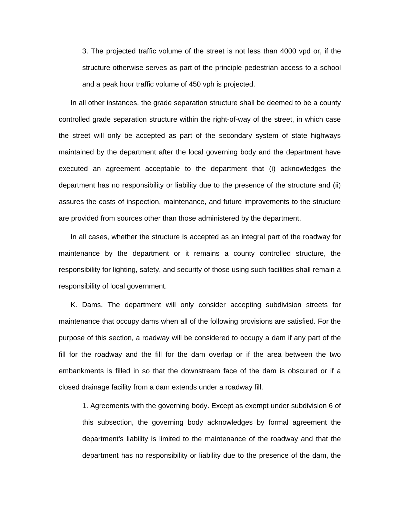3. The projected traffic volume of the street is not less than 4000 vpd or, if the structure otherwise serves as part of the principle pedestrian access to a school and a peak hour traffic volume of 450 vph is projected.

In all other instances, the grade separation structure shall be deemed to be a county controlled grade separation structure within the right-of-way of the street, in which case the street will only be accepted as part of the secondary system of state highways maintained by the department after the local governing body and the department have executed an agreement acceptable to the department that (i) acknowledges the department has no responsibility or liability due to the presence of the structure and (ii) assures the costs of inspection, maintenance, and future improvements to the structure are provided from sources other than those administered by the department.

In all cases, whether the structure is accepted as an integral part of the roadway for maintenance by the department or it remains a county controlled structure, the responsibility for lighting, safety, and security of those using such facilities shall remain a responsibility of local government.

K. Dams. The department will only consider accepting subdivision streets for maintenance that occupy dams when all of the following provisions are satisfied. For the purpose of this section, a roadway will be considered to occupy a dam if any part of the fill for the roadway and the fill for the dam overlap or if the area between the two embankments is filled in so that the downstream face of the dam is obscured or if a closed drainage facility from a dam extends under a roadway fill.

1. Agreements with the governing body. Except as exempt under subdivision 6 of this subsection, the governing body acknowledges by formal agreement the department's liability is limited to the maintenance of the roadway and that the department has no responsibility or liability due to the presence of the dam, the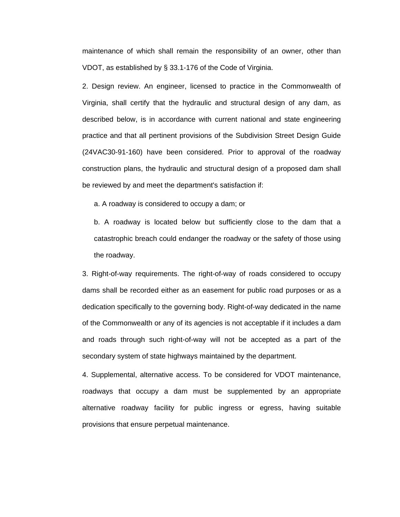maintenance of which shall remain the responsibility of an owner, other than VDOT, as established by § 33.1-176 of the Code of Virginia.

2. Design review. An engineer, licensed to practice in the Commonwealth of Virginia, shall certify that the hydraulic and structural design of any dam, as described below, is in accordance with current national and state engineering practice and that all pertinent provisions of the Subdivision Street Design Guide (24VAC30-91-160) have been considered. Prior to approval of the roadway construction plans, the hydraulic and structural design of a proposed dam shall be reviewed by and meet the department's satisfaction if:

a. A roadway is considered to occupy a dam; or

b. A roadway is located below but sufficiently close to the dam that a catastrophic breach could endanger the roadway or the safety of those using the roadway.

3. Right-of-way requirements. The right-of-way of roads considered to occupy dams shall be recorded either as an easement for public road purposes or as a dedication specifically to the governing body. Right-of-way dedicated in the name of the Commonwealth or any of its agencies is not acceptable if it includes a dam and roads through such right-of-way will not be accepted as a part of the secondary system of state highways maintained by the department.

4. Supplemental, alternative access. To be considered for VDOT maintenance, roadways that occupy a dam must be supplemented by an appropriate alternative roadway facility for public ingress or egress, having suitable provisions that ensure perpetual maintenance.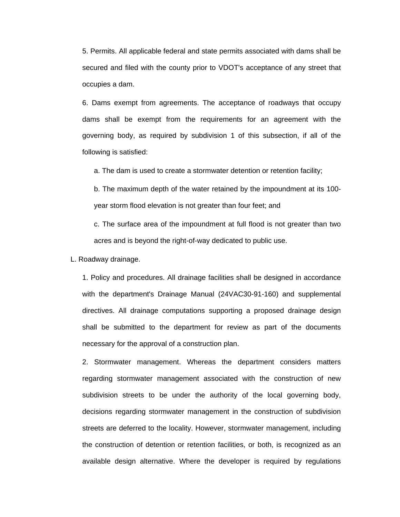5. Permits. All applicable federal and state permits associated with dams shall be secured and filed with the county prior to VDOT's acceptance of any street that occupies a dam.

6. Dams exempt from agreements. The acceptance of roadways that occupy dams shall be exempt from the requirements for an agreement with the governing body, as required by subdivision 1 of this subsection, if all of the following is satisfied:

a. The dam is used to create a stormwater detention or retention facility;

b. The maximum depth of the water retained by the impoundment at its 100 year storm flood elevation is not greater than four feet; and

c. The surface area of the impoundment at full flood is not greater than two acres and is beyond the right-of-way dedicated to public use.

L. Roadway drainage.

1. Policy and procedures. All drainage facilities shall be designed in accordance with the department's Drainage Manual (24VAC30-91-160) and supplemental directives. All drainage computations supporting a proposed drainage design shall be submitted to the department for review as part of the documents necessary for the approval of a construction plan.

2. Stormwater management. Whereas the department considers matters regarding stormwater management associated with the construction of new subdivision streets to be under the authority of the local governing body, decisions regarding stormwater management in the construction of subdivision streets are deferred to the locality. However, stormwater management, including the construction of detention or retention facilities, or both, is recognized as an available design alternative. Where the developer is required by regulations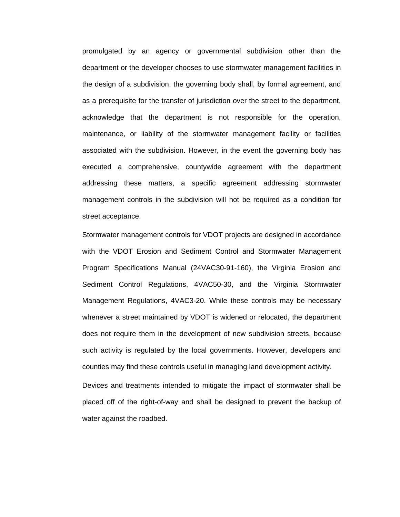promulgated by an agency or governmental subdivision other than the department or the developer chooses to use stormwater management facilities in the design of a subdivision, the governing body shall, by formal agreement, and as a prerequisite for the transfer of jurisdiction over the street to the department, acknowledge that the department is not responsible for the operation, maintenance, or liability of the stormwater management facility or facilities associated with the subdivision. However, in the event the governing body has executed a comprehensive, countywide agreement with the department addressing these matters, a specific agreement addressing stormwater management controls in the subdivision will not be required as a condition for street acceptance.

Stormwater management controls for VDOT projects are designed in accordance with the VDOT Erosion and Sediment Control and Stormwater Management Program Specifications Manual (24VAC30-91-160), the Virginia Erosion and Sediment Control Regulations, 4VAC50-30, and the Virginia Stormwater Management Regulations, 4VAC3-20. While these controls may be necessary whenever a street maintained by VDOT is widened or relocated, the department does not require them in the development of new subdivision streets, because such activity is regulated by the local governments. However, developers and counties may find these controls useful in managing land development activity.

Devices and treatments intended to mitigate the impact of stormwater shall be placed off of the right-of-way and shall be designed to prevent the backup of water against the roadbed.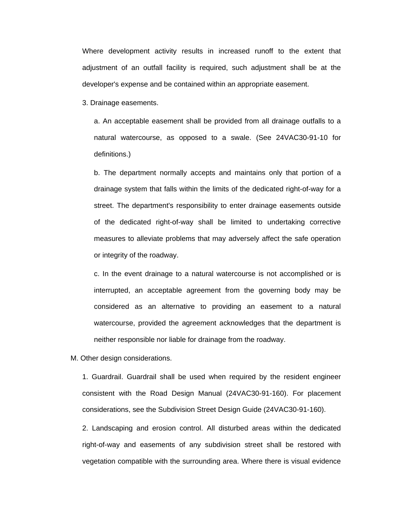Where development activity results in increased runoff to the extent that adjustment of an outfall facility is required, such adjustment shall be at the developer's expense and be contained within an appropriate easement.

3. Drainage easements.

a. An acceptable easement shall be provided from all drainage outfalls to a natural watercourse, as opposed to a swale. (See 24VAC30-91-10 for definitions.)

b. The department normally accepts and maintains only that portion of a drainage system that falls within the limits of the dedicated right-of-way for a street. The department's responsibility to enter drainage easements outside of the dedicated right-of-way shall be limited to undertaking corrective measures to alleviate problems that may adversely affect the safe operation or integrity of the roadway.

c. In the event drainage to a natural watercourse is not accomplished or is interrupted, an acceptable agreement from the governing body may be considered as an alternative to providing an easement to a natural watercourse, provided the agreement acknowledges that the department is neither responsible nor liable for drainage from the roadway.

M. Other design considerations.

1. Guardrail. Guardrail shall be used when required by the resident engineer consistent with the Road Design Manual (24VAC30-91-160). For placement considerations, see the Subdivision Street Design Guide (24VAC30-91-160).

2. Landscaping and erosion control. All disturbed areas within the dedicated right-of-way and easements of any subdivision street shall be restored with vegetation compatible with the surrounding area. Where there is visual evidence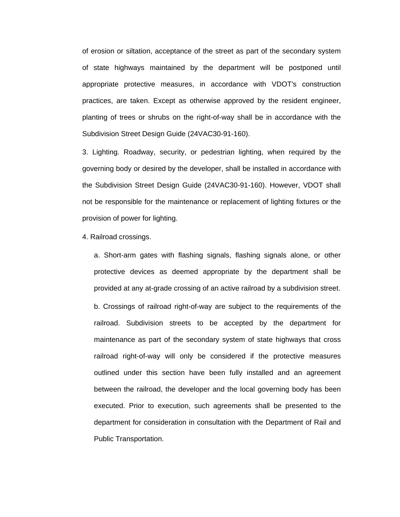of erosion or siltation, acceptance of the street as part of the secondary system of state highways maintained by the department will be postponed until appropriate protective measures, in accordance with VDOT's construction practices, are taken. Except as otherwise approved by the resident engineer, planting of trees or shrubs on the right-of-way shall be in accordance with the Subdivision Street Design Guide (24VAC30-91-160).

3. Lighting. Roadway, security, or pedestrian lighting, when required by the governing body or desired by the developer, shall be installed in accordance with the Subdivision Street Design Guide (24VAC30-91-160). However, VDOT shall not be responsible for the maintenance or replacement of lighting fixtures or the provision of power for lighting.

4. Railroad crossings.

a. Short-arm gates with flashing signals, flashing signals alone, or other protective devices as deemed appropriate by the department shall be provided at any at-grade crossing of an active railroad by a subdivision street. b. Crossings of railroad right-of-way are subject to the requirements of the railroad. Subdivision streets to be accepted by the department for maintenance as part of the secondary system of state highways that cross railroad right-of-way will only be considered if the protective measures outlined under this section have been fully installed and an agreement between the railroad, the developer and the local governing body has been executed. Prior to execution, such agreements shall be presented to the department for consideration in consultation with the Department of Rail and Public Transportation.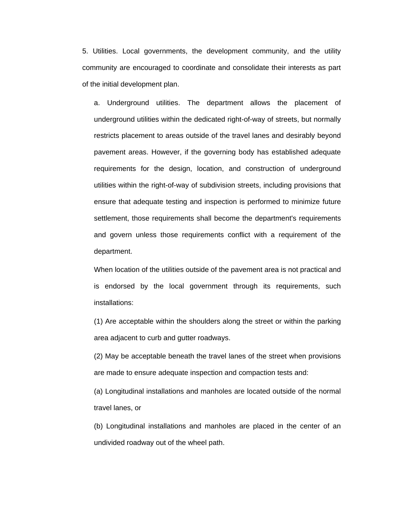5. Utilities. Local governments, the development community, and the utility community are encouraged to coordinate and consolidate their interests as part of the initial development plan.

a. Underground utilities. The department allows the placement of underground utilities within the dedicated right-of-way of streets, but normally restricts placement to areas outside of the travel lanes and desirably beyond pavement areas. However, if the governing body has established adequate requirements for the design, location, and construction of underground utilities within the right-of-way of subdivision streets, including provisions that ensure that adequate testing and inspection is performed to minimize future settlement, those requirements shall become the department's requirements and govern unless those requirements conflict with a requirement of the department.

When location of the utilities outside of the pavement area is not practical and is endorsed by the local government through its requirements, such installations:

(1) Are acceptable within the shoulders along the street or within the parking area adjacent to curb and gutter roadways.

(2) May be acceptable beneath the travel lanes of the street when provisions are made to ensure adequate inspection and compaction tests and:

(a) Longitudinal installations and manholes are located outside of the normal travel lanes, or

(b) Longitudinal installations and manholes are placed in the center of an undivided roadway out of the wheel path.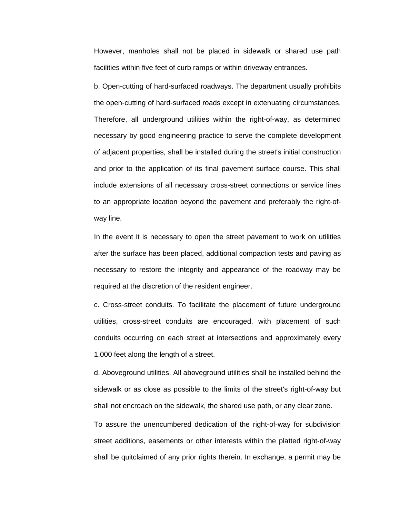However, manholes shall not be placed in sidewalk or shared use path facilities within five feet of curb ramps or within driveway entrances.

b. Open-cutting of hard-surfaced roadways. The department usually prohibits the open-cutting of hard-surfaced roads except in extenuating circumstances. Therefore, all underground utilities within the right-of-way, as determined necessary by good engineering practice to serve the complete development of adjacent properties, shall be installed during the street's initial construction and prior to the application of its final pavement surface course. This shall include extensions of all necessary cross-street connections or service lines to an appropriate location beyond the pavement and preferably the right-ofway line.

In the event it is necessary to open the street pavement to work on utilities after the surface has been placed, additional compaction tests and paving as necessary to restore the integrity and appearance of the roadway may be required at the discretion of the resident engineer.

c. Cross-street conduits. To facilitate the placement of future underground utilities, cross-street conduits are encouraged, with placement of such conduits occurring on each street at intersections and approximately every 1,000 feet along the length of a street.

d. Aboveground utilities. All aboveground utilities shall be installed behind the sidewalk or as close as possible to the limits of the street's right-of-way but shall not encroach on the sidewalk, the shared use path, or any clear zone.

To assure the unencumbered dedication of the right-of-way for subdivision street additions, easements or other interests within the platted right-of-way shall be quitclaimed of any prior rights therein. In exchange, a permit may be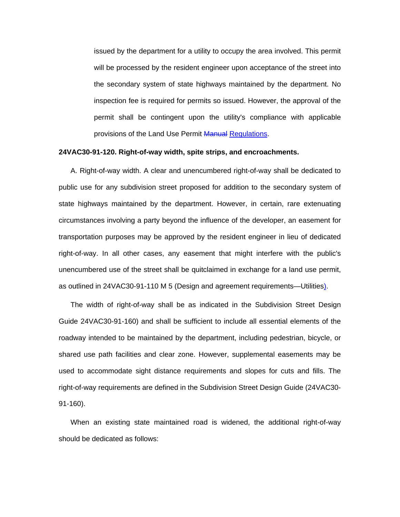issued by the department for a utility to occupy the area involved. This permit will be processed by the resident engineer upon acceptance of the street into the secondary system of state highways maintained by the department. No inspection fee is required for permits so issued. However, the approval of the permit shall be contingent upon the utility's compliance with applicable provisions of the Land Use Permit Manual Regulations.

## **24VAC30-91-120. Right-of-way width, spite strips, and encroachments.**

A. Right-of-way width. A clear and unencumbered right-of-way shall be dedicated to public use for any subdivision street proposed for addition to the secondary system of state highways maintained by the department. However, in certain, rare extenuating circumstances involving a party beyond the influence of the developer, an easement for transportation purposes may be approved by the resident engineer in lieu of dedicated right-of-way. In all other cases, any easement that might interfere with the public's unencumbered use of the street shall be quitclaimed in exchange for a land use permit, as outlined in 24VAC30-91-110 M 5 (Design and agreement requirements—Utilities).

The width of right-of-way shall be as indicated in the Subdivision Street Design Guide 24VAC30-91-160) and shall be sufficient to include all essential elements of the roadway intended to be maintained by the department, including pedestrian, bicycle, or shared use path facilities and clear zone. However, supplemental easements may be used to accommodate sight distance requirements and slopes for cuts and fills. The right-of-way requirements are defined in the Subdivision Street Design Guide (24VAC30- 91-160).

When an existing state maintained road is widened, the additional right-of-way should be dedicated as follows: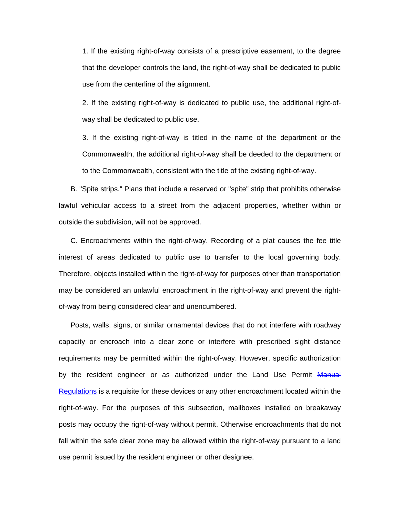1. If the existing right-of-way consists of a prescriptive easement, to the degree that the developer controls the land, the right-of-way shall be dedicated to public use from the centerline of the alignment.

2. If the existing right-of-way is dedicated to public use, the additional right-ofway shall be dedicated to public use.

3. If the existing right-of-way is titled in the name of the department or the Commonwealth, the additional right-of-way shall be deeded to the department or to the Commonwealth, consistent with the title of the existing right-of-way.

B. "Spite strips." Plans that include a reserved or "spite" strip that prohibits otherwise lawful vehicular access to a street from the adjacent properties, whether within or outside the subdivision, will not be approved.

C. Encroachments within the right-of-way. Recording of a plat causes the fee title interest of areas dedicated to public use to transfer to the local governing body. Therefore, objects installed within the right-of-way for purposes other than transportation may be considered an unlawful encroachment in the right-of-way and prevent the rightof-way from being considered clear and unencumbered.

Posts, walls, signs, or similar ornamental devices that do not interfere with roadway capacity or encroach into a clear zone or interfere with prescribed sight distance requirements may be permitted within the right-of-way. However, specific authorization by the resident engineer or as authorized under the Land Use Permit Manual Regulations is a requisite for these devices or any other encroachment located within the right-of-way. For the purposes of this subsection, mailboxes installed on breakaway posts may occupy the right-of-way without permit. Otherwise encroachments that do not fall within the safe clear zone may be allowed within the right-of-way pursuant to a land use permit issued by the resident engineer or other designee.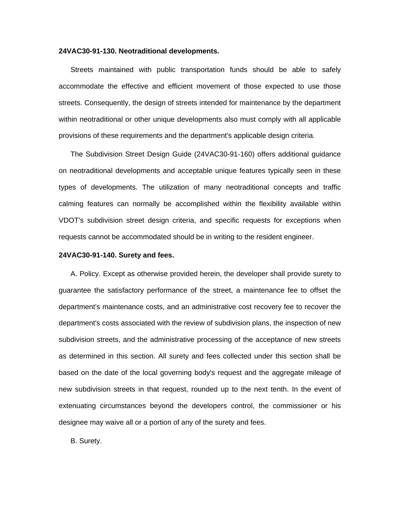#### **24VAC30-91-130. Neotraditional developments.**

Streets maintained with public transportation funds should be able to safely accommodate the effective and efficient movement of those expected to use those streets. Consequently, the design of streets intended for maintenance by the department within neotraditional or other unique developments also must comply with all applicable provisions of these requirements and the department's applicable design criteria.

The Subdivision Street Design Guide (24VAC30-91-160) offers additional guidance on neotraditional developments and acceptable unique features typically seen in these types of developments. The utilization of many neotraditional concepts and traffic calming features can normally be accomplished within the flexibility available within VDOT's subdivision street design criteria, and specific requests for exceptions when requests cannot be accommodated should be in writing to the resident engineer.

### **24VAC30-91-140. Surety and fees.**

A. Policy. Except as otherwise provided herein, the developer shall provide surety to guarantee the satisfactory performance of the street, a maintenance fee to offset the department's maintenance costs, and an administrative cost recovery fee to recover the department's costs associated with the review of subdivision plans, the inspection of new subdivision streets, and the administrative processing of the acceptance of new streets as determined in this section. All surety and fees collected under this section shall be based on the date of the local governing body's request and the aggregate mileage of new subdivision streets in that request, rounded up to the next tenth. In the event of extenuating circumstances beyond the developers control, the commissioner or his designee may waive all or a portion of any of the surety and fees.

B. Surety.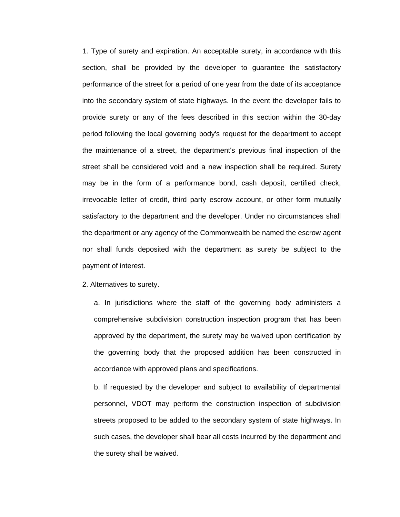1. Type of surety and expiration. An acceptable surety, in accordance with this section, shall be provided by the developer to guarantee the satisfactory performance of the street for a period of one year from the date of its acceptance into the secondary system of state highways. In the event the developer fails to provide surety or any of the fees described in this section within the 30-day period following the local governing body's request for the department to accept the maintenance of a street, the department's previous final inspection of the street shall be considered void and a new inspection shall be required. Surety may be in the form of a performance bond, cash deposit, certified check, irrevocable letter of credit, third party escrow account, or other form mutually satisfactory to the department and the developer. Under no circumstances shall the department or any agency of the Commonwealth be named the escrow agent nor shall funds deposited with the department as surety be subject to the payment of interest.

2. Alternatives to surety.

a. In jurisdictions where the staff of the governing body administers a comprehensive subdivision construction inspection program that has been approved by the department, the surety may be waived upon certification by the governing body that the proposed addition has been constructed in accordance with approved plans and specifications.

b. If requested by the developer and subject to availability of departmental personnel, VDOT may perform the construction inspection of subdivision streets proposed to be added to the secondary system of state highways. In such cases, the developer shall bear all costs incurred by the department and the surety shall be waived.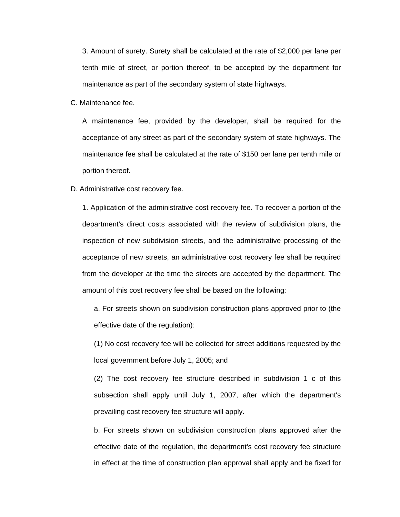3. Amount of surety. Surety shall be calculated at the rate of \$2,000 per lane per tenth mile of street, or portion thereof, to be accepted by the department for maintenance as part of the secondary system of state highways.

C. Maintenance fee.

A maintenance fee, provided by the developer, shall be required for the acceptance of any street as part of the secondary system of state highways. The maintenance fee shall be calculated at the rate of \$150 per lane per tenth mile or portion thereof.

#### D. Administrative cost recovery fee.

1. Application of the administrative cost recovery fee. To recover a portion of the department's direct costs associated with the review of subdivision plans, the inspection of new subdivision streets, and the administrative processing of the acceptance of new streets, an administrative cost recovery fee shall be required from the developer at the time the streets are accepted by the department. The amount of this cost recovery fee shall be based on the following:

a. For streets shown on subdivision construction plans approved prior to (the effective date of the regulation):

(1) No cost recovery fee will be collected for street additions requested by the local government before July 1, 2005; and

(2) The cost recovery fee structure described in subdivision 1 c of this subsection shall apply until July 1, 2007, after which the department's prevailing cost recovery fee structure will apply.

b. For streets shown on subdivision construction plans approved after the effective date of the regulation, the department's cost recovery fee structure in effect at the time of construction plan approval shall apply and be fixed for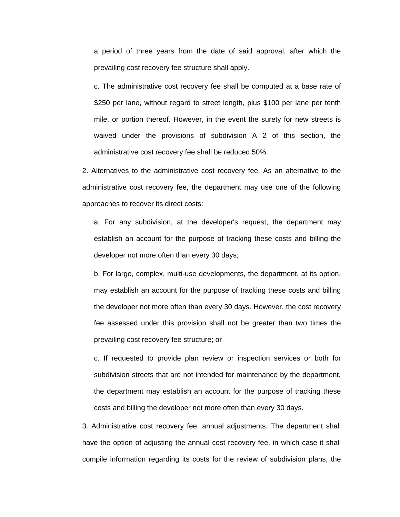a period of three years from the date of said approval, after which the prevailing cost recovery fee structure shall apply.

c. The administrative cost recovery fee shall be computed at a base rate of \$250 per lane, without regard to street length, plus \$100 per lane per tenth mile, or portion thereof. However, in the event the surety for new streets is waived under the provisions of subdivision A 2 of this section, the administrative cost recovery fee shall be reduced 50%.

2. Alternatives to the administrative cost recovery fee. As an alternative to the administrative cost recovery fee, the department may use one of the following approaches to recover its direct costs:

a. For any subdivision, at the developer's request, the department may establish an account for the purpose of tracking these costs and billing the developer not more often than every 30 days;

b. For large, complex, multi-use developments, the department, at its option, may establish an account for the purpose of tracking these costs and billing the developer not more often than every 30 days. However, the cost recovery fee assessed under this provision shall not be greater than two times the prevailing cost recovery fee structure; or

c. If requested to provide plan review or inspection services or both for subdivision streets that are not intended for maintenance by the department, the department may establish an account for the purpose of tracking these costs and billing the developer not more often than every 30 days.

3. Administrative cost recovery fee, annual adjustments. The department shall have the option of adjusting the annual cost recovery fee, in which case it shall compile information regarding its costs for the review of subdivision plans, the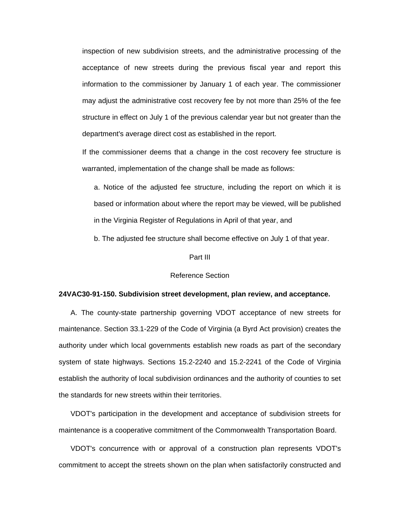inspection of new subdivision streets, and the administrative processing of the acceptance of new streets during the previous fiscal year and report this information to the commissioner by January 1 of each year. The commissioner may adjust the administrative cost recovery fee by not more than 25% of the fee structure in effect on July 1 of the previous calendar year but not greater than the department's average direct cost as established in the report.

If the commissioner deems that a change in the cost recovery fee structure is warranted, implementation of the change shall be made as follows:

a. Notice of the adjusted fee structure, including the report on which it is based or information about where the report may be viewed, will be published in the Virginia Register of Regulations in April of that year, and

b. The adjusted fee structure shall become effective on July 1 of that year.

#### Part III

#### Reference Section

### **24VAC30-91-150. Subdivision street development, plan review, and acceptance.**

A. The county-state partnership governing VDOT acceptance of new streets for maintenance. Section 33.1-229 of the Code of Virginia (a Byrd Act provision) creates the authority under which local governments establish new roads as part of the secondary system of state highways. Sections 15.2-2240 and 15.2-2241 of the Code of Virginia establish the authority of local subdivision ordinances and the authority of counties to set the standards for new streets within their territories.

VDOT's participation in the development and acceptance of subdivision streets for maintenance is a cooperative commitment of the Commonwealth Transportation Board.

VDOT's concurrence with or approval of a construction plan represents VDOT's commitment to accept the streets shown on the plan when satisfactorily constructed and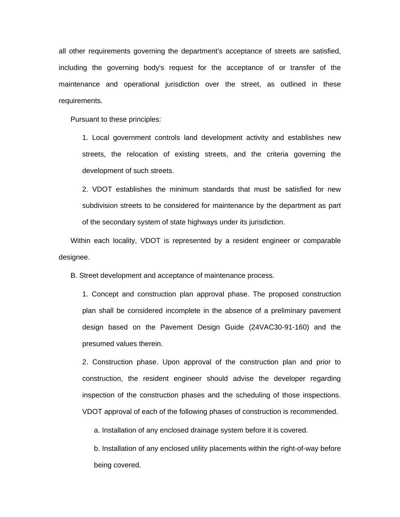all other requirements governing the department's acceptance of streets are satisfied, including the governing body's request for the acceptance of or transfer of the maintenance and operational jurisdiction over the street, as outlined in these requirements.

Pursuant to these principles:

1. Local government controls land development activity and establishes new streets, the relocation of existing streets, and the criteria governing the development of such streets.

2. VDOT establishes the minimum standards that must be satisfied for new subdivision streets to be considered for maintenance by the department as part of the secondary system of state highways under its jurisdiction.

Within each locality, VDOT is represented by a resident engineer or comparable designee.

B. Street development and acceptance of maintenance process.

1. Concept and construction plan approval phase. The proposed construction plan shall be considered incomplete in the absence of a preliminary pavement design based on the Pavement Design Guide (24VAC30-91-160) and the presumed values therein.

2. Construction phase. Upon approval of the construction plan and prior to construction, the resident engineer should advise the developer regarding inspection of the construction phases and the scheduling of those inspections. VDOT approval of each of the following phases of construction is recommended.

a. Installation of any enclosed drainage system before it is covered.

b. Installation of any enclosed utility placements within the right-of-way before being covered.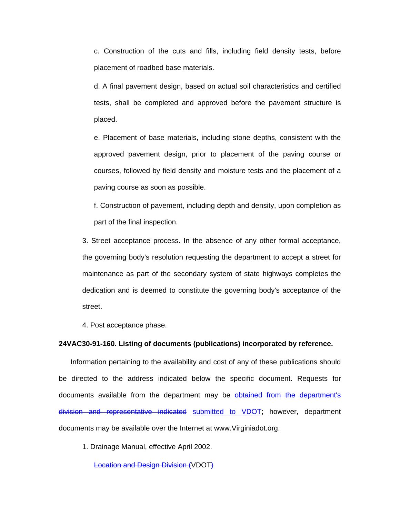c. Construction of the cuts and fills, including field density tests, before placement of roadbed base materials.

d. A final pavement design, based on actual soil characteristics and certified tests, shall be completed and approved before the pavement structure is placed.

e. Placement of base materials, including stone depths, consistent with the approved pavement design, prior to placement of the paving course or courses, followed by field density and moisture tests and the placement of a paving course as soon as possible.

f. Construction of pavement, including depth and density, upon completion as part of the final inspection.

3. Street acceptance process. In the absence of any other formal acceptance, the governing body's resolution requesting the department to accept a street for maintenance as part of the secondary system of state highways completes the dedication and is deemed to constitute the governing body's acceptance of the street.

4. Post acceptance phase.

### **24VAC30-91-160. Listing of documents (publications) incorporated by reference.**

Information pertaining to the availability and cost of any of these publications should be directed to the address indicated below the specific document. Requests for documents available from the department may be obtained from the department's division and representative indicated submitted to VDOT; however, department documents may be available over the Internet at www.Virginiadot.org.

1. Drainage Manual, effective April 2002.

Location and Design Division (VDOT)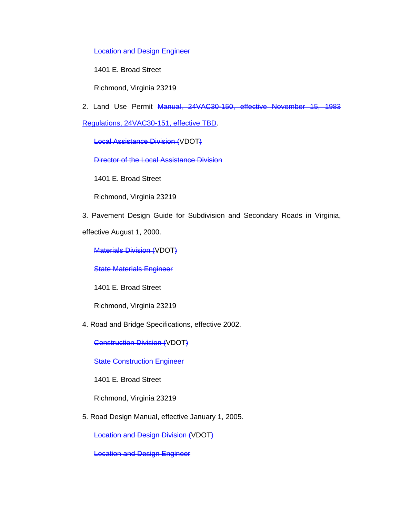Location and Design Engineer

1401 E. Broad Street

Richmond, Virginia 23219

2. Land Use Permit Manual, 24VAC30-150, effective November 15, 1983

Regulations, 24VAC30-151, effective TBD.

Local Assistance Division (VDOT)

Director of the Local Assistance Division

1401 E. Broad Street

Richmond, Virginia 23219

3. Pavement Design Guide for Subdivision and Secondary Roads in Virginia,

effective August 1, 2000.

Materials Division (VDOT)

State Materials Engineer

1401 E. Broad Street

Richmond, Virginia 23219

4. Road and Bridge Specifications, effective 2002.

Construction Division (VDOT)

**State Construction Engineer** 

1401 E. Broad Street

Richmond, Virginia 23219

5. Road Design Manual, effective January 1, 2005.

Location and Design Division (VDOT)

Location and Design Engineer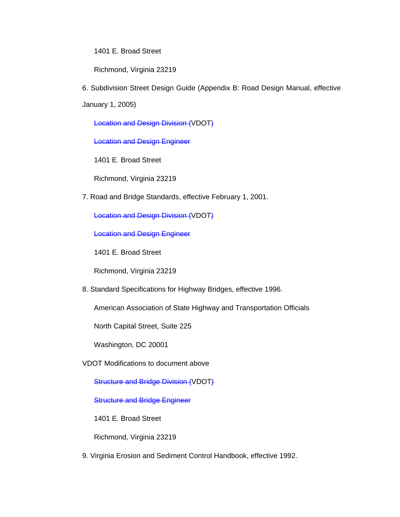1401 E. Broad Street

Richmond, Virginia 23219

6. Subdivision Street Design Guide (Appendix B: Road Design Manual, effective

January 1, 2005)

Location and Design Division (VDOT)

Location and Design Engineer

1401 E. Broad Street

Richmond, Virginia 23219

7. Road and Bridge Standards, effective February 1, 2001.

Location and Design Division (VDOT)

Location and Design Engineer

1401 E. Broad Street

Richmond, Virginia 23219

8. Standard Specifications for Highway Bridges, effective 1996.

American Association of State Highway and Transportation Officials

North Capital Street, Suite 225

Washington, DC 20001

VDOT Modifications to document above

Structure and Bridge Division (VDOT)

**Structure and Bridge Engineer** 

1401 E. Broad Street

Richmond, Virginia 23219

9. Virginia Erosion and Sediment Control Handbook, effective 1992.